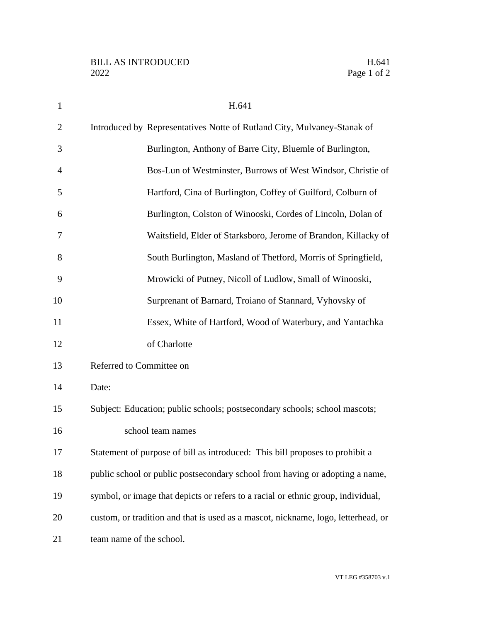| $\mathbf{1}$   | H.641                                                                             |
|----------------|-----------------------------------------------------------------------------------|
| $\overline{2}$ | Introduced by Representatives Notte of Rutland City, Mulvaney-Stanak of           |
| 3              | Burlington, Anthony of Barre City, Bluemle of Burlington,                         |
| 4              | Bos-Lun of Westminster, Burrows of West Windsor, Christie of                      |
| 5              | Hartford, Cina of Burlington, Coffey of Guilford, Colburn of                      |
| 6              | Burlington, Colston of Winooski, Cordes of Lincoln, Dolan of                      |
| 7              | Waitsfield, Elder of Starksboro, Jerome of Brandon, Killacky of                   |
| 8              | South Burlington, Masland of Thetford, Morris of Springfield,                     |
| 9              | Mrowicki of Putney, Nicoll of Ludlow, Small of Winooski,                          |
| 10             | Surprenant of Barnard, Troiano of Stannard, Vyhovsky of                           |
| 11             | Essex, White of Hartford, Wood of Waterbury, and Yantachka                        |
| 12             | of Charlotte                                                                      |
| 13             | Referred to Committee on                                                          |
| 14             | Date:                                                                             |
| 15             | Subject: Education; public schools; postsecondary schools; school mascots;        |
| 16             | school team names                                                                 |
| 17             | Statement of purpose of bill as introduced: This bill proposes to prohibit a      |
| 18             | public school or public postsecondary school from having or adopting a name,      |
| 19             | symbol, or image that depicts or refers to a racial or ethnic group, individual,  |
| 20             | custom, or tradition and that is used as a mascot, nickname, logo, letterhead, or |
| 21             | team name of the school.                                                          |